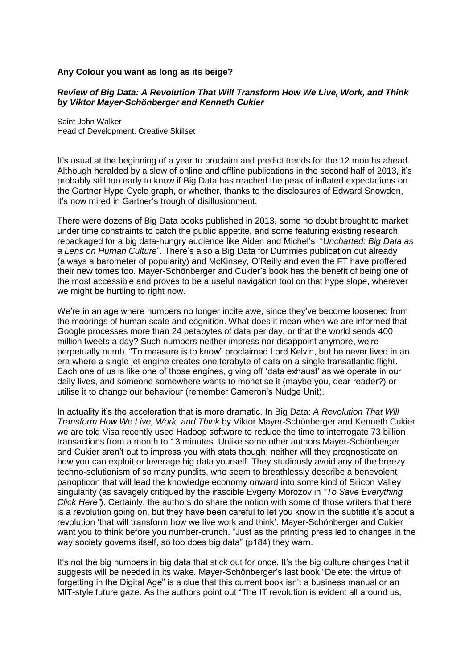## **Any Colour you want as long as its beige?**

## *Review of Big Data: A Revolution That Will Transform How We Live, Work, and Think by Viktor Mayer-Schönberger and Kenneth Cukier*

Saint John Walker Head of Development, Creative Skillset

It's usual at the beginning of a year to proclaim and predict trends for the 12 months ahead. Although heralded by a slew of online and offline publications in the second half of 2013, it's probably still too early to know if Big Data has reached the peak of inflated expectations on the Gartner Hype Cycle graph, or whether, thanks to the disclosures of Edward Snowden, it's now mired in Gartner's trough of disillusionment.

There were dozens of Big Data books published in 2013, some no doubt brought to market under time constraints to catch the public appetite, and some featuring existing research repackaged for a big data-hungry audience like Aiden and Michel's "*Uncharted: Big Data as a Lens on Human Culture*". There's also a Big Data for Dummies publication out already (always a barometer of popularity) and McKinsey, O'Reilly and even the FT have proffered their new tomes too. Mayer-Schönberger and Cukier's book has the benefit of being one of the most accessible and proves to be a useful navigation tool on that hype slope, wherever we might be hurtling to right now.

We're in an age where numbers no longer incite awe, since they've become loosened from the moorings of human scale and cognition. What does it mean when we are informed that Google processes more than 24 petabytes of data per day, or that the world sends 400 million tweets a day? Such numbers neither impress nor disappoint anymore, we're perpetually numb. "To measure is to know" proclaimed Lord Kelvin, but he never lived in an era where a single jet engine creates one terabyte of data on a single transatlantic flight. Each one of us is like one of those engines, giving off 'data exhaust' as we operate in our daily lives, and someone somewhere wants to monetise it (maybe you, dear reader?) or utilise it to change our behaviour (remember Cameron's Nudge Unit).

In actuality it's the acceleration that is more dramatic. In Big Data: *A Revolution That Will Transform How We Live, Work, and Think* by Viktor Mayer-Schönberger and Kenneth Cukier we are told Visa recently used Hadoop software to reduce the time to interrogate 73 billion transactions from a month to 13 minutes. Unlike some other authors Mayer-Schönberger and Cukier aren't out to impress you with stats though; neither will they prognosticate on how you can exploit or leverage big data yourself. They studiously avoid any of the breezy techno-solutionism of so many pundits, who seem to breathlessly describe a benevolent panopticon that will lead the knowledge economy onward into some kind of Silicon Valley singularity (as savagely critiqued by the irascible Evgeny Morozov in *"To Save Everything Click Here"*). Certainly, the authors do share the notion with some of those writers that there is a revolution going on, but they have been careful to let you know in the subtitle it's about a revolution 'that will transform how we live work and think'. Mayer-Schönberger and Cukier want you to think before you number-crunch. "Just as the printing press led to changes in the way society governs itself, so too does big data" (p184) they warn.

It's not the big numbers in big data that stick out for once. It's the big culture changes that it suggests will be needed in its wake. Mayer-Schönberger's last book "Delete: the virtue of forgetting in the Digital Age" is a clue that this current book isn't a business manual or an MIT-style future gaze. As the authors point out "The IT revolution is evident all around us,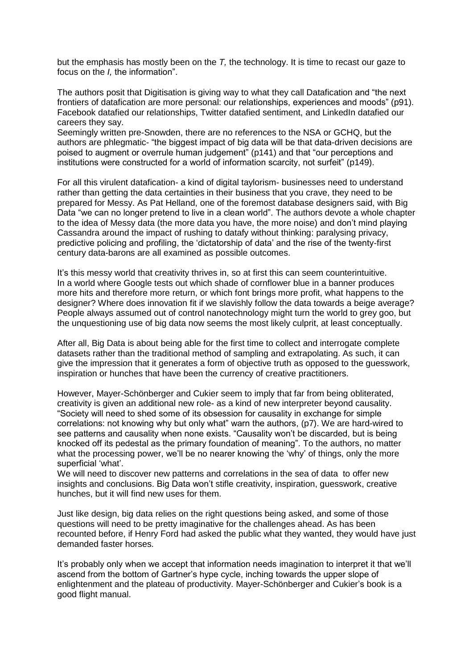but the emphasis has mostly been on the *T,* the technology. It is time to recast our gaze to focus on the *I,* the information".

The authors posit that Digitisation is giving way to what they call Datafication and "the next frontiers of datafication are more personal: our relationships, experiences and moods" (p91). Facebook datafied our relationships, Twitter datafied sentiment, and LinkedIn datafied our careers they say.

Seemingly written pre-Snowden, there are no references to the NSA or GCHQ, but the authors are phlegmatic- "the biggest impact of big data will be that data-driven decisions are poised to augment or overrule human judgement" (p141) and that "our perceptions and institutions were constructed for a world of information scarcity, not surfeit" (p149).

For all this virulent datafication- a kind of digital taylorism- businesses need to understand rather than getting the data certainties in their business that you crave, they need to be prepared for Messy. As Pat Helland, one of the foremost database designers said, with Big Data "we can no longer pretend to live in a clean world". The authors devote a whole chapter to the idea of Messy data (the more data you have, the more noise) and don't mind playing Cassandra around the impact of rushing to datafy without thinking: paralysing privacy, predictive policing and profiling, the 'dictatorship of data' and the rise of the twenty-first century data-barons are all examined as possible outcomes.

It's this messy world that creativity thrives in, so at first this can seem counterintuitive. In a world where Google tests out which shade of cornflower blue in a banner produces more hits and therefore more return, or which font brings more profit, what happens to the designer? Where does innovation fit if we slavishly follow the data towards a beige average? People always assumed out of control nanotechnology might turn the world to grey goo, but the unquestioning use of big data now seems the most likely culprit, at least conceptually.

After all, Big Data is about being able for the first time to collect and interrogate complete datasets rather than the traditional method of sampling and extrapolating. As such, it can give the impression that it generates a form of objective truth as opposed to the guesswork, inspiration or hunches that have been the currency of creative practitioners.

However, Mayer-Schönberger and Cukier seem to imply that far from being obliterated, creativity is given an additional new role- as a kind of new interpreter beyond causality. "Society will need to shed some of its obsession for causality in exchange for simple correlations: not knowing why but only what" warn the authors, (p7). We are hard-wired to see patterns and causality when none exists. "Causality won't be discarded, but is being knocked off its pedestal as the primary foundation of meaning". To the authors, no matter what the processing power, we'll be no nearer knowing the 'why' of things, only the more superficial 'what'.

We will need to discover new patterns and correlations in the sea of data to offer new insights and conclusions. Big Data won't stifle creativity, inspiration, guesswork, creative hunches, but it will find new uses for them.

Just like design, big data relies on the right questions being asked, and some of those questions will need to be pretty imaginative for the challenges ahead. As has been recounted before, if Henry Ford had asked the public what they wanted, they would have just demanded faster horses.

It's probably only when we accept that information needs imagination to interpret it that we'll ascend from the bottom of Gartner's hype cycle, inching towards the upper slope of enlightenment and the plateau of productivity. Mayer-Schönberger and Cukier's book is a good flight manual.